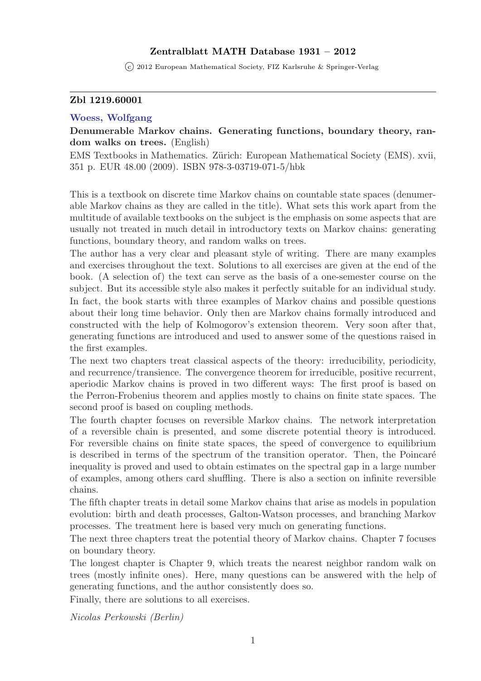## Zentralblatt MATH Database 1931 – 2012

 $\overline{c}$  2012 European Mathematical Society, FIZ Karlsruhe & Springer-Verlag

## Zbl 1219.60001

#### [Woess, Wolfgang](http://www.zentralblatt-math.org/zmath/en/search/?q=author:au:Woess, W**&type=pdf&format=short)

# Denumerable Markov chains. Generating functions, boundary theory, random walks on trees. (English)

EMS Textbooks in Mathematics. Zürich: European Mathematical Society (EMS). xvii, 351 p. EUR 48.00 (2009). ISBN 978-3-03719-071-5/hbk

This is a textbook on discrete time Markov chains on countable state spaces (denumerable Markov chains as they are called in the title). What sets this work apart from the multitude of available textbooks on the subject is the emphasis on some aspects that are usually not treated in much detail in introductory texts on Markov chains: generating functions, boundary theory, and random walks on trees.

The author has a very clear and pleasant style of writing. There are many examples and exercises throughout the text. Solutions to all exercises are given at the end of the book. (A selection of) the text can serve as the basis of a one-semester course on the subject. But its accessible style also makes it perfectly suitable for an individual study. In fact, the book starts with three examples of Markov chains and possible questions about their long time behavior. Only then are Markov chains formally introduced and constructed with the help of Kolmogorov's extension theorem. Very soon after that, generating functions are introduced and used to answer some of the questions raised in the first examples.

The next two chapters treat classical aspects of the theory: irreducibility, periodicity, and recurrence/transience. The convergence theorem for irreducible, positive recurrent, aperiodic Markov chains is proved in two different ways: The first proof is based on the Perron-Frobenius theorem and applies mostly to chains on finite state spaces. The second proof is based on coupling methods.

The fourth chapter focuses on reversible Markov chains. The network interpretation of a reversible chain is presented, and some discrete potential theory is introduced. For reversible chains on finite state spaces, the speed of convergence to equilibrium is described in terms of the spectrum of the transition operator. Then, the Poincaré inequality is proved and used to obtain estimates on the spectral gap in a large number of examples, among others card shuffling. There is also a section on infinite reversible chains.

The fifth chapter treats in detail some Markov chains that arise as models in population evolution: birth and death processes, Galton-Watson processes, and branching Markov processes. The treatment here is based very much on generating functions.

The next three chapters treat the potential theory of Markov chains. Chapter 7 focuses on boundary theory.

The longest chapter is Chapter 9, which treats the nearest neighbor random walk on trees (mostly infinite ones). Here, many questions can be answered with the help of generating functions, and the author consistently does so.

Finally, there are solutions to all exercises.

Nicolas Perkowski (Berlin)